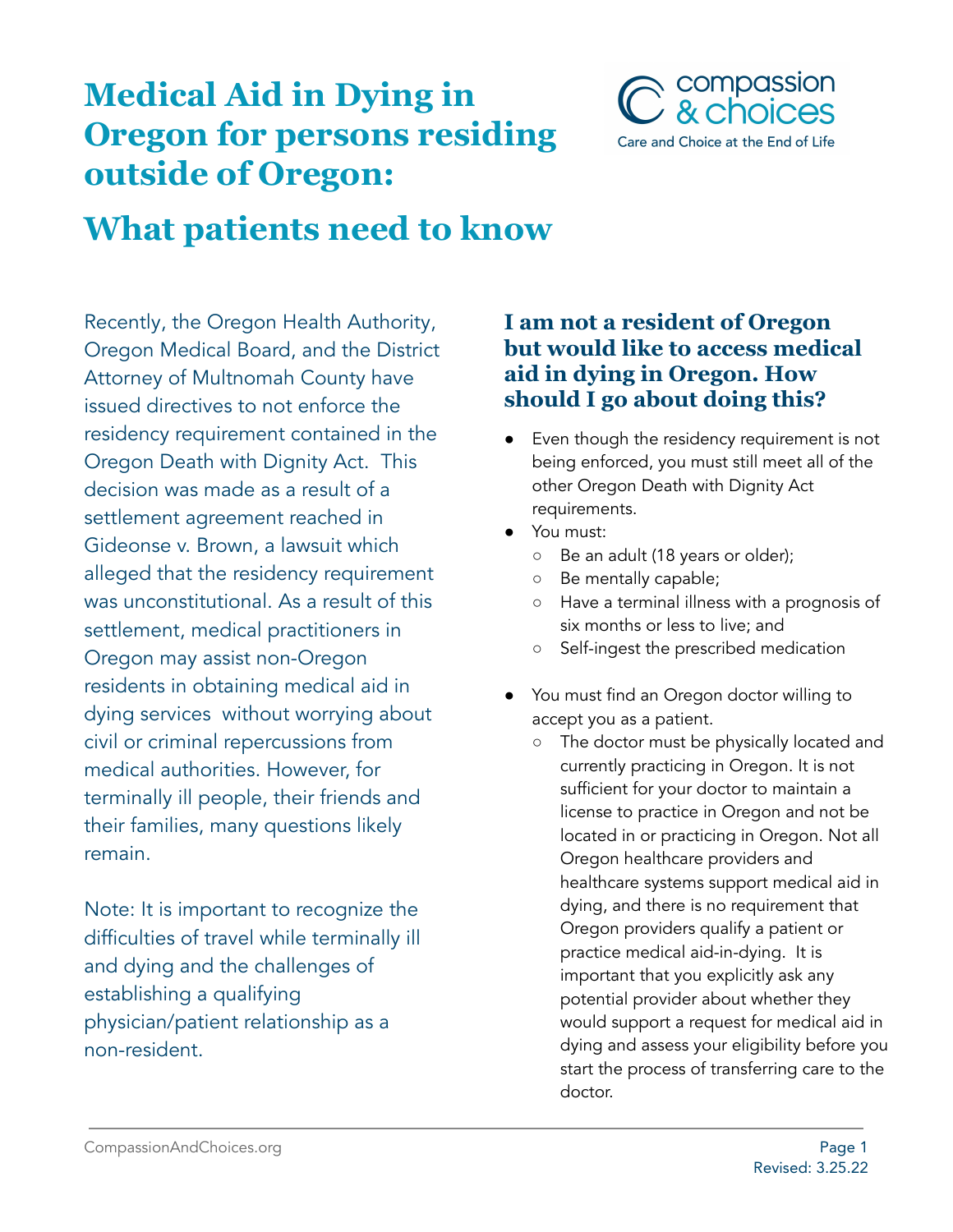## **Medical Aid in Dying in Oregon for persons residing outside of Oregon:**



# **What patients need to know**

Recently, the Oregon Health Authority, Oregon Medical Board, and the District Attorney of Multnomah County have issued directives to not enforce the residency requirement contained in the Oregon Death with Dignity Act. This decision was made as a result of a settlement agreement reached in Gideonse v. Brown, a lawsuit which alleged that the residency requirement was unconstitutional. As a result of this settlement, medical practitioners in Oregon may assist non-Oregon residents in obtaining medical aid in dying services without worrying about civil or criminal repercussions from medical authorities. However, for terminally ill people, their friends and their families, many questions likely remain.

Note: It is important to recognize the difficulties of travel while terminally ill and dying and the challenges of establishing a qualifying physician/patient relationship as a non-resident.

#### **I am not a resident of Oregon but would like to access medical aid in dying in Oregon. How should I go about doing this?**

- Even though the residency requirement is not being enforced, you must still meet all of the other Oregon Death with Dignity Act requirements.
- You must:
	- Be an adult (18 years or older);
	- Be mentally capable;
	- Have a terminal illness with a prognosis of six months or less to live; and
	- Self-ingest the prescribed medication
- You must find an Oregon doctor willing to accept you as a patient.
	- The doctor must be physically located and currently practicing in Oregon. It is not sufficient for your doctor to maintain a license to practice in Oregon and not be located in or practicing in Oregon. Not all Oregon healthcare providers and healthcare systems support medical aid in dying, and there is no requirement that Oregon providers qualify a patient or practice medical aid-in-dying. It is important that you explicitly ask any potential provider about whether they would support a request for medical aid in dying and assess your eligibility before you start the process of transferring care to the doctor.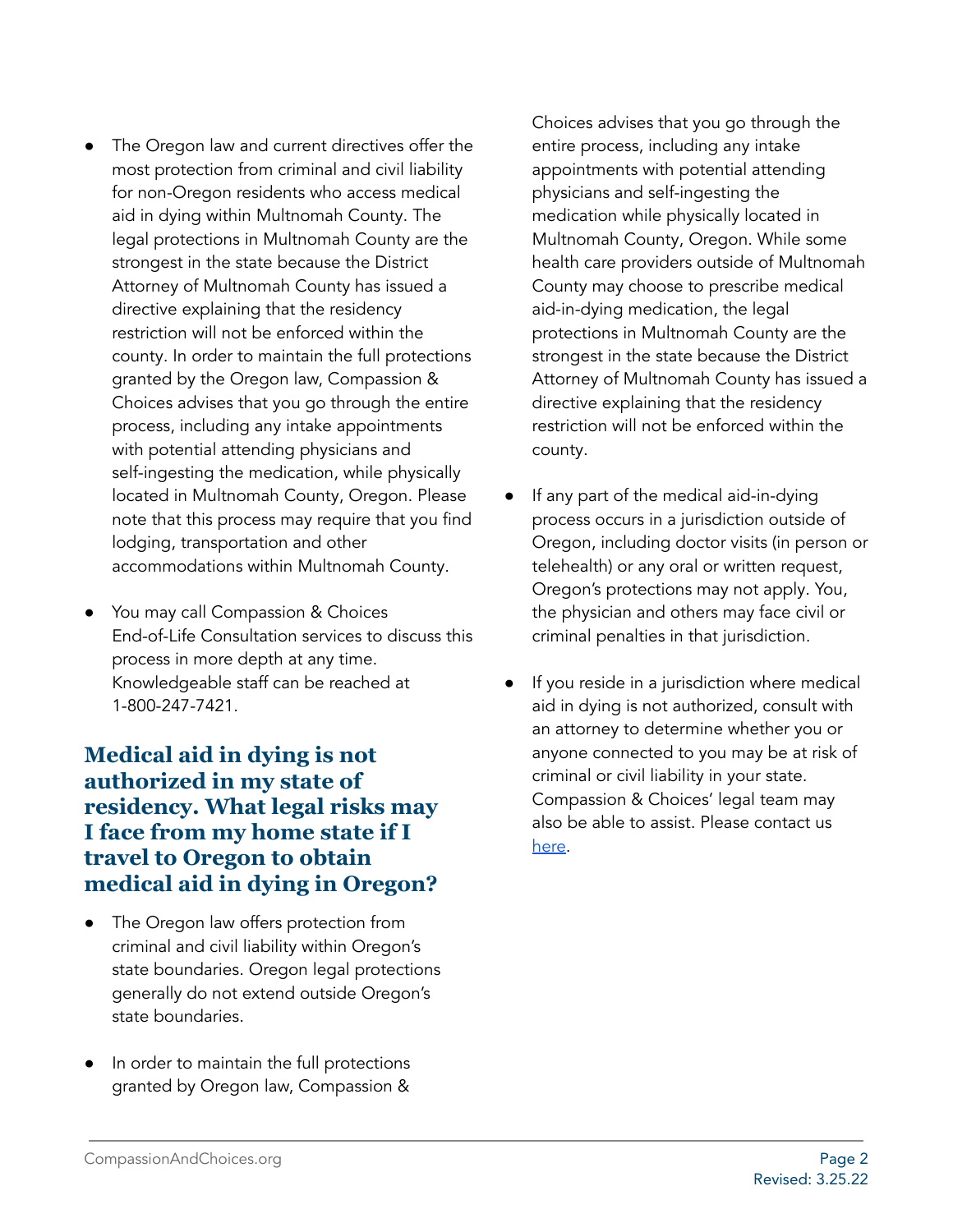- The Oregon law and current directives offer the most protection from criminal and civil liability for non-Oregon residents who access medical aid in dying within Multnomah County. The legal protections in Multnomah County are the strongest in the state because the District Attorney of Multnomah County has issued a directive explaining that the residency restriction will not be enforced within the county. In order to maintain the full protections granted by the Oregon law, Compassion & Choices advises that you go through the entire process, including any intake appointments with potential attending physicians and self-ingesting the medication, while physically located in Multnomah County, Oregon. Please note that this process may require that you find lodging, transportation and other accommodations within Multnomah County.
- You may call Compassion & Choices End-of-Life Consultation services to discuss this process in more depth at any time. Knowledgeable staff can be reached at 1-800-247-7421.

**Medical aid in dying is not authorized in my state of residency. What legal risks may I face from my home state if I travel to Oregon to obtain medical aid in dying in Oregon?**

- The Oregon law offers protection from criminal and civil liability within Oregon's state boundaries. Oregon legal protections generally do not extend outside Oregon's state boundaries.
- In order to maintain the full protections granted by Oregon law, Compassion &

Choices advises that you go through the entire process, including any intake appointments with potential attending physicians and self-ingesting the medication while physically located in Multnomah County, Oregon. While some health care providers outside of Multnomah County may choose to prescribe medical aid-in-dying medication, the legal protections in Multnomah County are the strongest in the state because the District Attorney of Multnomah County has issued a directive explaining that the residency restriction will not be enforced within the county.

- If any part of the medical aid-in-dying process occurs in a jurisdiction outside of Oregon, including doctor visits (in person or telehealth) or any oral or written request, Oregon's protections may not apply. You, the physician and others may face civil or criminal penalties in that jurisdiction.
- If you reside in a jurisdiction where medical aid in dying is not authorized, consult with an attorney to determine whether you or anyone connected to you may be at risk of criminal or civil liability in your state. Compassion & Choices' legal team may also be able to assist. Please contact us [here.](https://secure.everyaction.com/Gx1QcL5tL0intDt5ZYVK4A2)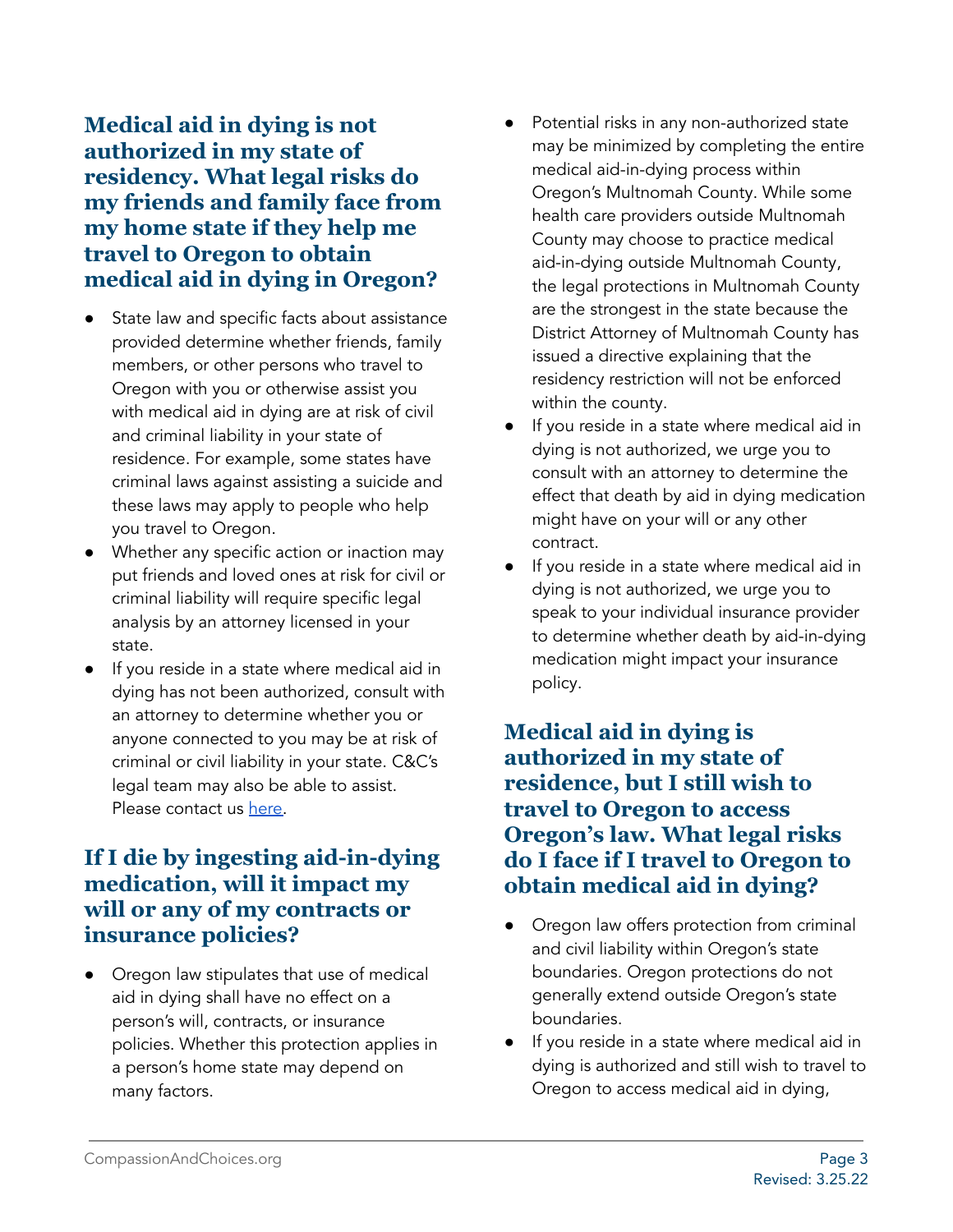**Medical aid in dying is not authorized in my state of residency. What legal risks do my friends and family face from my home state if they help me travel to Oregon to obtain medical aid in dying in Oregon?**

- State law and specific facts about assistance provided determine whether friends, family members, or other persons who travel to Oregon with you or otherwise assist you with medical aid in dying are at risk of civil and criminal liability in your state of residence. For example, some states have criminal laws against assisting a suicide and these laws may apply to people who help you travel to Oregon.
- Whether any specific action or inaction may put friends and loved ones at risk for civil or criminal liability will require specific legal analysis by an attorney licensed in your state.
- If you reside in a state where medical aid in dying has not been authorized, consult with an attorney to determine whether you or anyone connected to you may be at risk of criminal or civil liability in your state. C&C's legal team may also be able to assist. Please contact us [here.](https://secure.everyaction.com/Gx1QcL5tL0intDt5ZYVK4A2)

#### **If I die by ingesting aid-in-dying medication, will it impact my will or any of my contracts or insurance policies?**

Oregon law stipulates that use of medical aid in dying shall have no effect on a person's will, contracts, or insurance policies. Whether this protection applies in a person's home state may depend on many factors.

- Potential risks in any non-authorized state may be minimized by completing the entire medical aid-in-dying process within Oregon's Multnomah County. While some health care providers outside Multnomah County may choose to practice medical aid-in-dying outside Multnomah County, the legal protections in Multnomah County are the strongest in the state because the District Attorney of Multnomah County has issued a directive explaining that the residency restriction will not be enforced within the county.
- If you reside in a state where medical aid in dying is not authorized, we urge you to consult with an attorney to determine the effect that death by aid in dying medication might have on your will or any other contract.
- If you reside in a state where medical aid in dying is not authorized, we urge you to speak to your individual insurance provider to determine whether death by aid-in-dying medication might impact your insurance policy.

#### **Medical aid in dying is authorized in my state of residence, but I still wish to travel to Oregon to access Oregon's law. What legal risks do I face if I travel to Oregon to obtain medical aid in dying?**

- Oregon law offers protection from criminal and civil liability within Oregon's state boundaries. Oregon protections do not generally extend outside Oregon's state boundaries.
- If you reside in a state where medical aid in dying is authorized and still wish to travel to Oregon to access medical aid in dying,